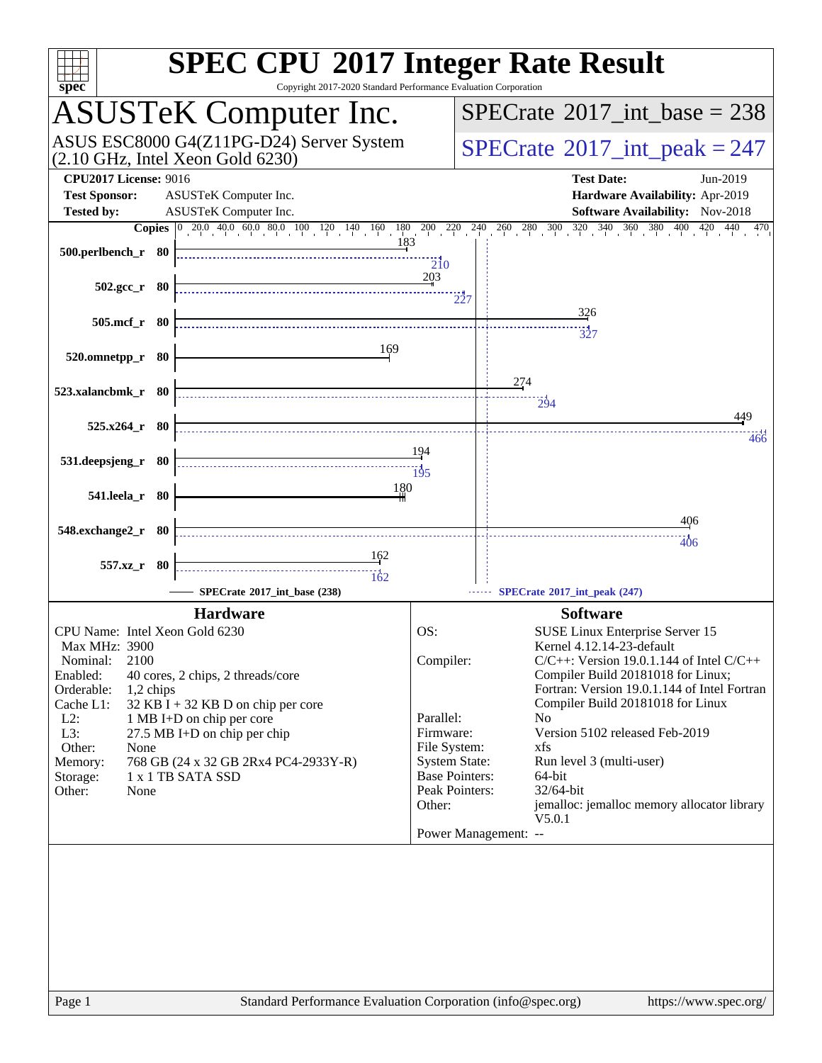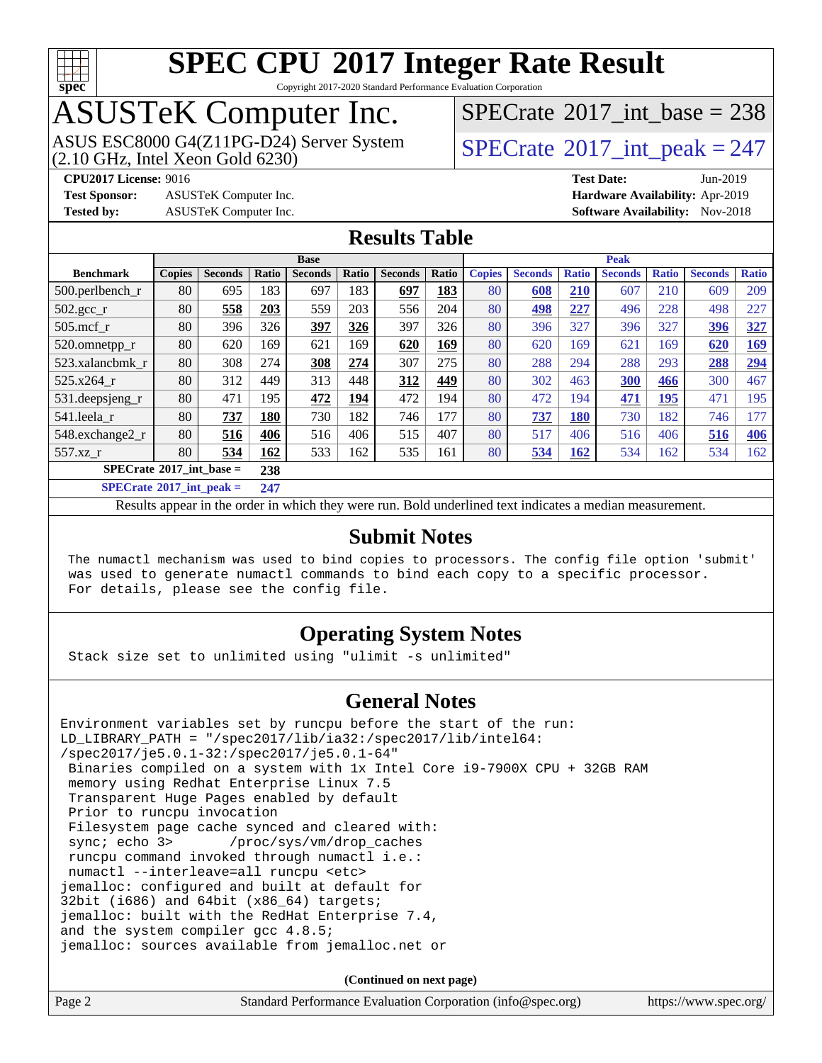

Copyright 2017-2020 Standard Performance Evaluation Corporation

# ASUSTeK Computer Inc.<br>ASUS ESC8000 G4(Z11PG-D24) Server System

 $(2.10$  GHz, Intel Xeon Gold  $6230)$ 

 $SPECTate@2017_int\_base = 238$ 

**[Test Sponsor:](http://www.spec.org/auto/cpu2017/Docs/result-fields.html#TestSponsor)** ASUSTeK Computer Inc. **[Hardware Availability:](http://www.spec.org/auto/cpu2017/Docs/result-fields.html#HardwareAvailability)** Apr-2019

 $SPECTate<sup>®</sup>2017_int_p [peak = 247]$ **[CPU2017 License:](http://www.spec.org/auto/cpu2017/Docs/result-fields.html#CPU2017License)** 9016 **[Test Date:](http://www.spec.org/auto/cpu2017/Docs/result-fields.html#TestDate)** Jun-2019

**[Tested by:](http://www.spec.org/auto/cpu2017/Docs/result-fields.html#Testedby)** ASUSTeK Computer Inc. **[Software Availability:](http://www.spec.org/auto/cpu2017/Docs/result-fields.html#SoftwareAvailability)** Nov-2018

### **[Results Table](http://www.spec.org/auto/cpu2017/Docs/result-fields.html#ResultsTable)**

|                                   | <b>Base</b>   |                |       |                | <b>Peak</b>  |                |       |               |                |              |                |              |                |              |
|-----------------------------------|---------------|----------------|-------|----------------|--------------|----------------|-------|---------------|----------------|--------------|----------------|--------------|----------------|--------------|
| <b>Benchmark</b>                  | <b>Copies</b> | <b>Seconds</b> | Ratio | <b>Seconds</b> | <b>Ratio</b> | <b>Seconds</b> | Ratio | <b>Copies</b> | <b>Seconds</b> | <b>Ratio</b> | <b>Seconds</b> | <b>Ratio</b> | <b>Seconds</b> | <b>Ratio</b> |
| $500$ .perlbench r                | 80            | 695            | 183   | 697            | 183          | 697            | 183   | 80            | 608            | 210          | 607            | 210          | 609            | 209          |
| $502.\text{gcc}$ _r               | 80            | 558            | 203   | 559            | 203          | 556            | 204   | 80            | 498            | 227          | 496            | 228          | 498            | 227          |
| $505$ .mcf r                      | 80            | 396            | 326   | 397            | 326          | 397            | 326   | 80            | 396            | 327          | 396            | 327          | 396            | 327          |
| 520.omnetpp_r                     | 80            | 620            | 169   | 621            | 169          | 620            | 169   | 80            | 620            | 169          | 621            | 169          | 620            | <u>169</u>   |
| 523.xalancbmk r                   | 80            | 308            | 274   | 308            | 274          | 307            | 275   | 80            | 288            | 294          | 288            | 293          | 288            | 294          |
| 525.x264 r                        | 80            | 312            | 449   | 313            | 448          | 312            | 449   | 80            | 302            | 463          | 300            | 466          | 300            | 467          |
| 531.deepsjeng_r                   | 80            | 471            | 195   | 472            | 194          | 472            | 194   | 80            | 472            | 194          | 471            | 195          | 471            | 195          |
| 541.leela r                       | 80            | 737            | 180   | 730            | 182          | 746            | 177   | 80            | 737            | <b>180</b>   | 730            | 182          | 746            | 177          |
| 548.exchange2_r                   | 80            | 516            | 406   | 516            | 406          | 515            | 407   | 80            | 517            | 406          | 516            | 406          | 516            | 406          |
| 557.xz r                          | 80            | 534            | 162   | 533            | 162          | 535            | 161   | 80            | 534            | 162          | 534            | 162          | 534            | 162          |
| $SPECrate^{\circ}2017$ int base = |               |                | 238   |                |              |                |       |               |                |              |                |              |                |              |
| $SPECrate^*2017\_int\_peak =$     |               |                | 247   |                |              |                |       |               |                |              |                |              |                |              |

Results appear in the [order in which they were run](http://www.spec.org/auto/cpu2017/Docs/result-fields.html#RunOrder). Bold underlined text [indicates a median measurement](http://www.spec.org/auto/cpu2017/Docs/result-fields.html#Median).

### **[Submit Notes](http://www.spec.org/auto/cpu2017/Docs/result-fields.html#SubmitNotes)**

 The numactl mechanism was used to bind copies to processors. The config file option 'submit' was used to generate numactl commands to bind each copy to a specific processor. For details, please see the config file.

### **[Operating System Notes](http://www.spec.org/auto/cpu2017/Docs/result-fields.html#OperatingSystemNotes)**

Stack size set to unlimited using "ulimit -s unlimited"

### **[General Notes](http://www.spec.org/auto/cpu2017/Docs/result-fields.html#GeneralNotes)**

Environment variables set by runcpu before the start of the run: LD\_LIBRARY\_PATH = "/spec2017/lib/ia32:/spec2017/lib/intel64: /spec2017/je5.0.1-32:/spec2017/je5.0.1-64" Binaries compiled on a system with 1x Intel Core i9-7900X CPU + 32GB RAM memory using Redhat Enterprise Linux 7.5 Transparent Huge Pages enabled by default Prior to runcpu invocation Filesystem page cache synced and cleared with: sync; echo 3> /proc/sys/vm/drop\_caches runcpu command invoked through numactl i.e.: numactl --interleave=all runcpu <etc> jemalloc: configured and built at default for 32bit (i686) and 64bit (x86\_64) targets; jemalloc: built with the RedHat Enterprise 7.4, and the system compiler gcc 4.8.5; jemalloc: sources available from jemalloc.net or

**(Continued on next page)**

| Page 2 | Standard Performance Evaluation Corporation (info@spec.org) | https://www.spec.org/ |
|--------|-------------------------------------------------------------|-----------------------|
|--------|-------------------------------------------------------------|-----------------------|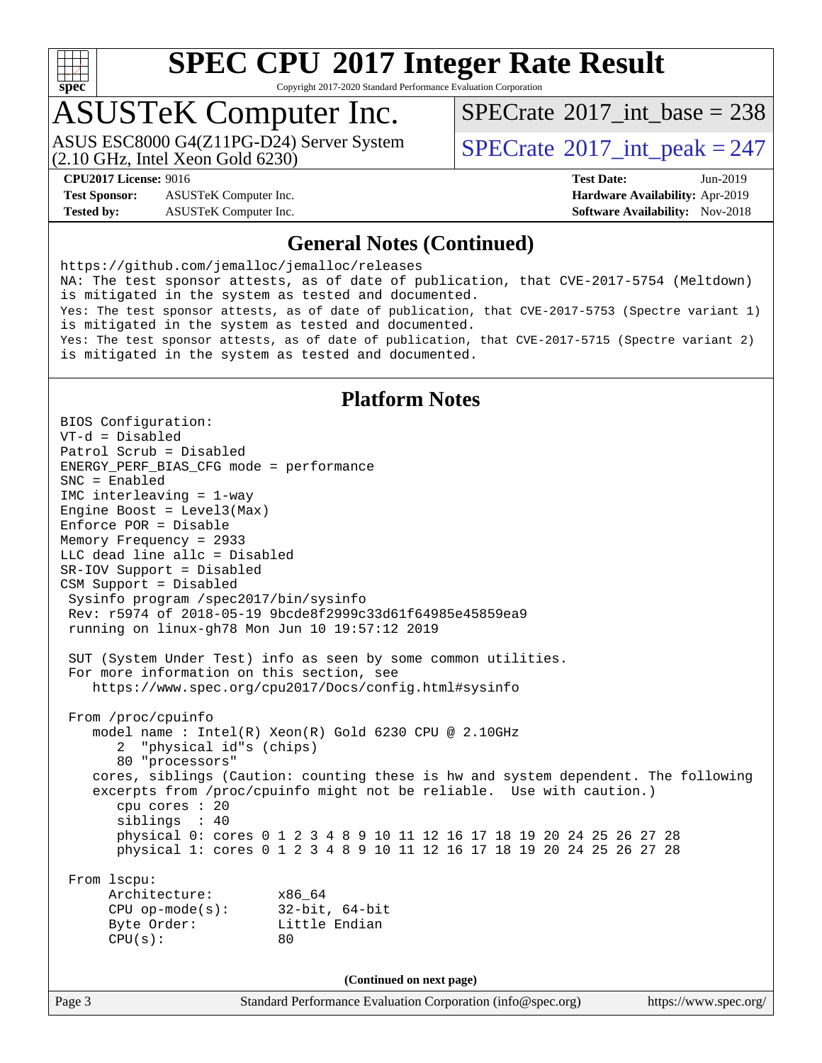

Copyright 2017-2020 Standard Performance Evaluation Corporation

## ASUSTeK Computer Inc.

(2.10 GHz, Intel Xeon Gold 6230) ASUS ESC8000 G4(Z11PG-D24) Server System  $SPECrate^{\circ}2017$  $SPECrate^{\circ}2017$ \_int\_peak = 247

 $SPECTate$ <sup>®</sup>[2017\\_int\\_base =](http://www.spec.org/auto/cpu2017/Docs/result-fields.html#SPECrate2017intbase) 238

**[Test Sponsor:](http://www.spec.org/auto/cpu2017/Docs/result-fields.html#TestSponsor)** ASUSTeK Computer Inc. **[Hardware Availability:](http://www.spec.org/auto/cpu2017/Docs/result-fields.html#HardwareAvailability)** Apr-2019 **[Tested by:](http://www.spec.org/auto/cpu2017/Docs/result-fields.html#Testedby)** ASUSTeK Computer Inc. **[Software Availability:](http://www.spec.org/auto/cpu2017/Docs/result-fields.html#SoftwareAvailability)** Nov-2018

**[CPU2017 License:](http://www.spec.org/auto/cpu2017/Docs/result-fields.html#CPU2017License)** 9016 **[Test Date:](http://www.spec.org/auto/cpu2017/Docs/result-fields.html#TestDate)** Jun-2019

### **[General Notes \(Continued\)](http://www.spec.org/auto/cpu2017/Docs/result-fields.html#GeneralNotes)**

<https://github.com/jemalloc/jemalloc/releases> NA: The test sponsor attests, as of date of publication, that CVE-2017-5754 (Meltdown) is mitigated in the system as tested and documented. Yes: The test sponsor attests, as of date of publication, that CVE-2017-5753 (Spectre variant 1) is mitigated in the system as tested and documented. Yes: The test sponsor attests, as of date of publication, that CVE-2017-5715 (Spectre variant 2) is mitigated in the system as tested and documented.

### **[Platform Notes](http://www.spec.org/auto/cpu2017/Docs/result-fields.html#PlatformNotes)**

BIOS Configuration: VT-d = Disabled Patrol Scrub = Disabled ENERGY\_PERF\_BIAS\_CFG mode = performance SNC = Enabled IMC interleaving = 1-way Engine Boost = Level3(Max) Enforce POR = Disable Memory Frequency = 2933 LLC dead line allc = Disabled SR-IOV Support = Disabled CSM Support = Disabled Sysinfo program /spec2017/bin/sysinfo Rev: r5974 of 2018-05-19 9bcde8f2999c33d61f64985e45859ea9 running on linux-gh78 Mon Jun 10 19:57:12 2019 SUT (System Under Test) info as seen by some common utilities. For more information on this section, see <https://www.spec.org/cpu2017/Docs/config.html#sysinfo> From /proc/cpuinfo model name : Intel(R) Xeon(R) Gold 6230 CPU @ 2.10GHz 2 "physical id"s (chips) 80 "processors" cores, siblings (Caution: counting these is hw and system dependent. The following excerpts from /proc/cpuinfo might not be reliable. Use with caution.) cpu cores : 20 siblings : 40 physical 0: cores 0 1 2 3 4 8 9 10 11 12 16 17 18 19 20 24 25 26 27 28 physical 1: cores 0 1 2 3 4 8 9 10 11 12 16 17 18 19 20 24 25 26 27 28 From lscpu: Architecture: x86\_64 CPU op-mode(s): 32-bit, 64-bit Byte Order: Little Endian  $CPU(s):$  80 **(Continued on next page)**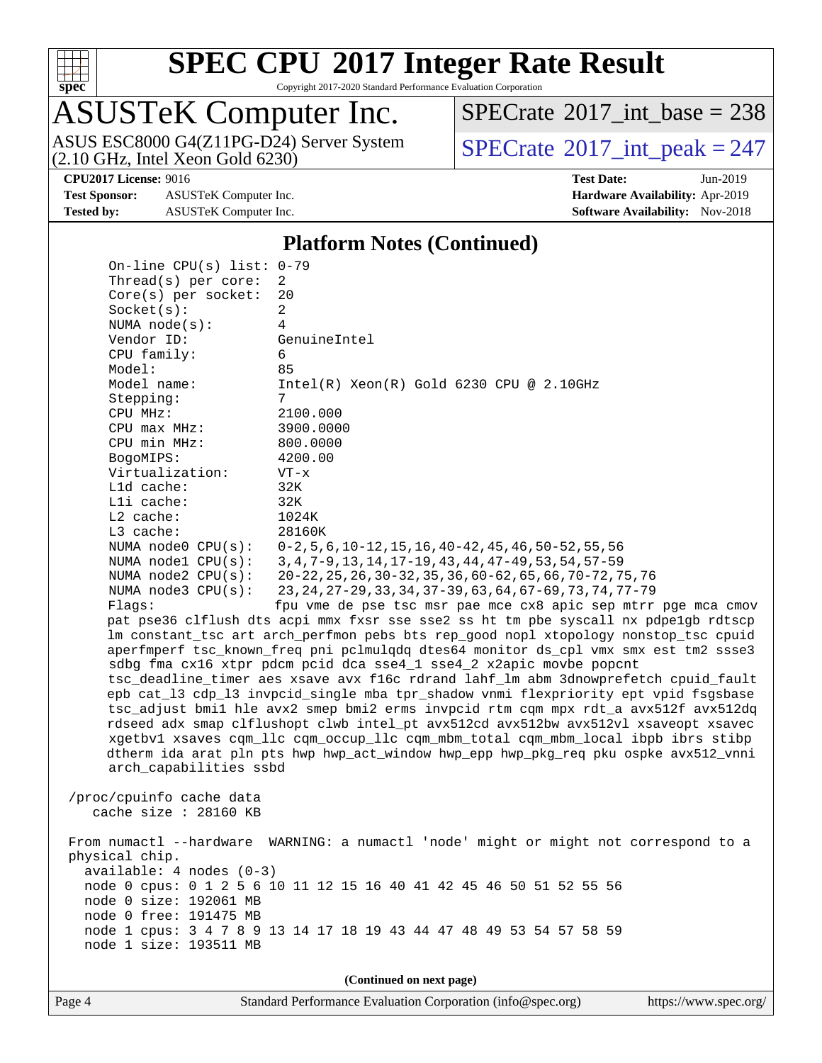

Copyright 2017-2020 Standard Performance Evaluation Corporation

# ASUSTeK Computer Inc.

(2.10 GHz, Intel Xeon Gold 6230) ASUS ESC8000 G4(Z11PG-D24) Server System  $SPECrate^{\circ}2017$  $SPECrate^{\circ}2017$ \_int\_peak = 247

 $SPECTate$ <sup>®</sup>[2017\\_int\\_base =](http://www.spec.org/auto/cpu2017/Docs/result-fields.html#SPECrate2017intbase) 238

**[Test Sponsor:](http://www.spec.org/auto/cpu2017/Docs/result-fields.html#TestSponsor)** ASUSTeK Computer Inc. **[Hardware Availability:](http://www.spec.org/auto/cpu2017/Docs/result-fields.html#HardwareAvailability)** Apr-2019 **[Tested by:](http://www.spec.org/auto/cpu2017/Docs/result-fields.html#Testedby)** ASUSTeK Computer Inc. **[Software Availability:](http://www.spec.org/auto/cpu2017/Docs/result-fields.html#SoftwareAvailability)** Nov-2018

**[CPU2017 License:](http://www.spec.org/auto/cpu2017/Docs/result-fields.html#CPU2017License)** 9016 **[Test Date:](http://www.spec.org/auto/cpu2017/Docs/result-fields.html#TestDate)** Jun-2019

### **[Platform Notes \(Continued\)](http://www.spec.org/auto/cpu2017/Docs/result-fields.html#PlatformNotes)**

 On-line CPU(s) list: 0-79 Thread(s) per core: 2 Core(s) per socket: 20 Socket(s): 2 NUMA node(s): 4 Vendor ID: GenuineIntel CPU family: 6 Model: 85 Model name: Intel(R) Xeon(R) Gold 6230 CPU @ 2.10GHz Stepping: 7 CPU MHz: 2100.000 CPU max MHz: 3900.0000 CPU min MHz: 800.0000 BogoMIPS: 4200.00 Virtualization: VT-x L1d cache: 32K L1i cache: 32K<br>
L2 cache: 1024K  $L2$  cache: L3 cache: 28160K NUMA node0 CPU(s): 0-2,5,6,10-12,15,16,40-42,45,46,50-52,55,56 NUMA node1 CPU(s): 3,4,7-9,13,14,17-19,43,44,47-49,53,54,57-59 NUMA node2 CPU(s): 20-22,25,26,30-32,35,36,60-62,65,66,70-72,75,76 NUMA node3 CPU(s): 23,24,27-29,33,34,37-39,63,64,67-69,73,74,77-79 Flags: fpu vme de pse tsc msr pae mce cx8 apic sep mtrr pge mca cmov pat pse36 clflush dts acpi mmx fxsr sse sse2 ss ht tm pbe syscall nx pdpe1gb rdtscp lm constant\_tsc art arch\_perfmon pebs bts rep\_good nopl xtopology nonstop\_tsc cpuid aperfmperf tsc\_known\_freq pni pclmulqdq dtes64 monitor ds\_cpl vmx smx est tm2 ssse3 sdbg fma cx16 xtpr pdcm pcid dca sse4\_1 sse4\_2 x2apic movbe popcnt tsc\_deadline\_timer aes xsave avx f16c rdrand lahf\_lm abm 3dnowprefetch cpuid\_fault epb cat\_l3 cdp\_l3 invpcid\_single mba tpr\_shadow vnmi flexpriority ept vpid fsgsbase tsc\_adjust bmi1 hle avx2 smep bmi2 erms invpcid rtm cqm mpx rdt\_a avx512f avx512dq rdseed adx smap clflushopt clwb intel\_pt avx512cd avx512bw avx512vl xsaveopt xsavec xgetbv1 xsaves cqm\_llc cqm\_occup\_llc cqm\_mbm\_total cqm\_mbm\_local ibpb ibrs stibp dtherm ida arat pln pts hwp hwp\_act\_window hwp\_epp hwp\_pkg\_req pku ospke avx512\_vnni arch\_capabilities ssbd /proc/cpuinfo cache data cache size : 28160 KB From numactl --hardware WARNING: a numactl 'node' might or might not correspond to a physical chip. available: 4 nodes (0-3) node 0 cpus: 0 1 2 5 6 10 11 12 15 16 40 41 42 45 46 50 51 52 55 56 node 0 size: 192061 MB node 0 free: 191475 MB node 1 cpus: 3 4 7 8 9 13 14 17 18 19 43 44 47 48 49 53 54 57 58 59 node 1 size: 193511 MB **(Continued on next page)**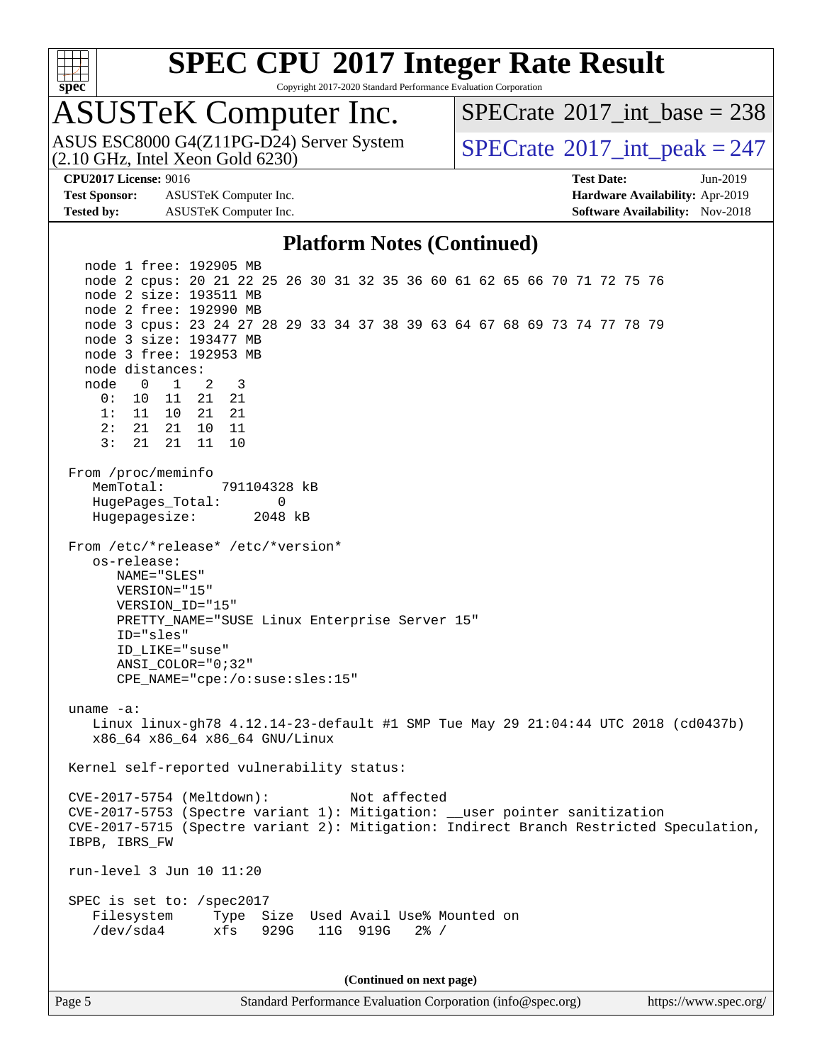

Copyright 2017-2020 Standard Performance Evaluation Corporation

# ASUSTeK Computer Inc.<br>ASUS ESC8000 G4(Z11PG-D24) Server System

(2.10 GHz, Intel Xeon Gold 6230)

 $SPECTate$ <sup>®</sup>[2017\\_int\\_base =](http://www.spec.org/auto/cpu2017/Docs/result-fields.html#SPECrate2017intbase) 238

 $SPECTate@2017\_int\_peak = 247$ 

**[Test Sponsor:](http://www.spec.org/auto/cpu2017/Docs/result-fields.html#TestSponsor)** ASUSTeK Computer Inc. **[Hardware Availability:](http://www.spec.org/auto/cpu2017/Docs/result-fields.html#HardwareAvailability)** Apr-2019 **[Tested by:](http://www.spec.org/auto/cpu2017/Docs/result-fields.html#Testedby)** ASUSTeK Computer Inc. **[Software Availability:](http://www.spec.org/auto/cpu2017/Docs/result-fields.html#SoftwareAvailability)** Nov-2018

**[CPU2017 License:](http://www.spec.org/auto/cpu2017/Docs/result-fields.html#CPU2017License)** 9016 **[Test Date:](http://www.spec.org/auto/cpu2017/Docs/result-fields.html#TestDate)** Jun-2019

### **[Platform Notes \(Continued\)](http://www.spec.org/auto/cpu2017/Docs/result-fields.html#PlatformNotes)**

 node 1 free: 192905 MB node 2 cpus: 20 21 22 25 26 30 31 32 35 36 60 61 62 65 66 70 71 72 75 76 node 2 size: 193511 MB node 2 free: 192990 MB node 3 cpus: 23 24 27 28 29 33 34 37 38 39 63 64 67 68 69 73 74 77 78 79 node 3 size: 193477 MB node 3 free: 192953 MB node distances: node 0 1 2 3 0: 10 11 21 21 1: 11 10 21 21 2: 21 21 10 11 3: 21 21 11 10 From /proc/meminfo MemTotal: 791104328 kB HugePages\_Total: 0 Hugepagesize: 2048 kB From /etc/\*release\* /etc/\*version\* os-release: NAME="SLES" VERSION="15" VERSION\_ID="15" PRETTY\_NAME="SUSE Linux Enterprise Server 15" ID="sles" ID\_LIKE="suse" ANSI\_COLOR="0;32" CPE\_NAME="cpe:/o:suse:sles:15" uname -a: Linux linux-gh78 4.12.14-23-default #1 SMP Tue May 29 21:04:44 UTC 2018 (cd0437b) x86\_64 x86\_64 x86\_64 GNU/Linux Kernel self-reported vulnerability status: CVE-2017-5754 (Meltdown): Not affected CVE-2017-5753 (Spectre variant 1): Mitigation: \_\_user pointer sanitization CVE-2017-5715 (Spectre variant 2): Mitigation: Indirect Branch Restricted Speculation, IBPB, IBRS\_FW run-level 3 Jun 10 11:20 SPEC is set to: /spec2017 Filesystem Type Size Used Avail Use% Mounted on /dev/sda4 xfs 929G 11G 919G 2% /

**(Continued on next page)**

Page 5 Standard Performance Evaluation Corporation [\(info@spec.org\)](mailto:info@spec.org) <https://www.spec.org/>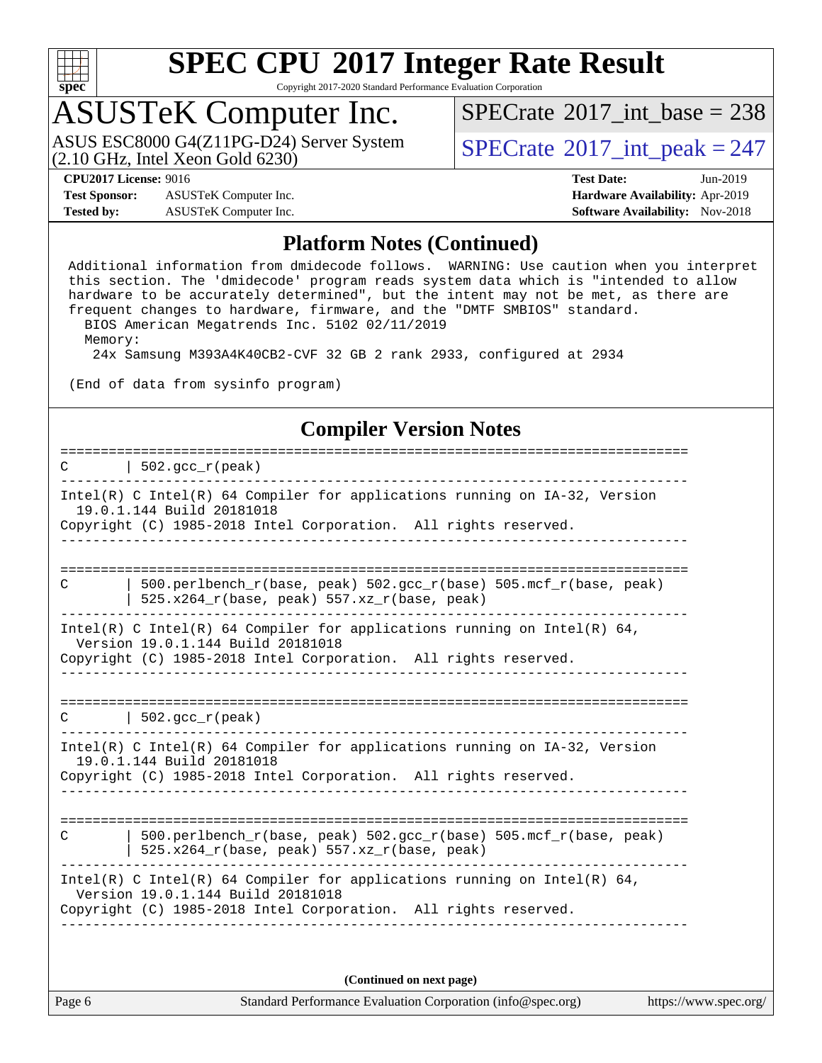

Copyright 2017-2020 Standard Performance Evaluation Corporation

## ASUSTeK Computer Inc.

(2.10 GHz, Intel Xeon Gold 6230) ASUS ESC8000 G4(Z11PG-D24) Server System  $\vert$  [SPECrate](http://www.spec.org/auto/cpu2017/Docs/result-fields.html#SPECrate2017intpeak)®[2017\\_int\\_peak = 2](http://www.spec.org/auto/cpu2017/Docs/result-fields.html#SPECrate2017intpeak)47

 $SPECTate$ <sup>®</sup>[2017\\_int\\_base =](http://www.spec.org/auto/cpu2017/Docs/result-fields.html#SPECrate2017intbase) 238

**[Test Sponsor:](http://www.spec.org/auto/cpu2017/Docs/result-fields.html#TestSponsor)** ASUSTeK Computer Inc. **[Hardware Availability:](http://www.spec.org/auto/cpu2017/Docs/result-fields.html#HardwareAvailability)** Apr-2019 **[Tested by:](http://www.spec.org/auto/cpu2017/Docs/result-fields.html#Testedby)** ASUSTeK Computer Inc. **[Software Availability:](http://www.spec.org/auto/cpu2017/Docs/result-fields.html#SoftwareAvailability)** Nov-2018

**[CPU2017 License:](http://www.spec.org/auto/cpu2017/Docs/result-fields.html#CPU2017License)** 9016 **[Test Date:](http://www.spec.org/auto/cpu2017/Docs/result-fields.html#TestDate)** Jun-2019

### **[Platform Notes \(Continued\)](http://www.spec.org/auto/cpu2017/Docs/result-fields.html#PlatformNotes)**

 Additional information from dmidecode follows. WARNING: Use caution when you interpret this section. The 'dmidecode' program reads system data which is "intended to allow hardware to be accurately determined", but the intent may not be met, as there are frequent changes to hardware, firmware, and the "DMTF SMBIOS" standard. BIOS American Megatrends Inc. 5102 02/11/2019 Memory:

24x Samsung M393A4K40CB2-CVF 32 GB 2 rank 2933, configured at 2934

(End of data from sysinfo program)

### **[Compiler Version Notes](http://www.spec.org/auto/cpu2017/Docs/result-fields.html#CompilerVersionNotes)**

| 502. $qcc r (peak)$<br>C                                                                                                                                                         |
|----------------------------------------------------------------------------------------------------------------------------------------------------------------------------------|
| Intel(R) C Intel(R) 64 Compiler for applications running on IA-32, Version<br>19.0.1.144 Build 20181018<br>Copyright (C) 1985-2018 Intel Corporation. All rights reserved.       |
| 500.perlbench r(base, peak) 502.gcc r(base) 505.mcf r(base, peak)<br>С<br>$525.x264_r(base, peak) 557.xz_r(base, peak)$                                                          |
| Intel(R) C Intel(R) 64 Compiler for applications running on Intel(R) 64,<br>Version 19.0.1.144 Build 20181018<br>Copyright (C) 1985-2018 Intel Corporation. All rights reserved. |
| $C \qquad   \quad 502 \text{.} \text{gcc\_r} \text{ (peak)}$                                                                                                                     |
| Intel(R) C Intel(R) 64 Compiler for applications running on $IA-32$ , Version<br>19.0.1.144 Build 20181018<br>Copyright (C) 1985-2018 Intel Corporation. All rights reserved.    |
| $500. perlbench_r(base, peak) 502. gcc_r(base) 505. mcf_r(base, peak)$<br>C<br>525.x264_r(base, peak) 557.xz_r(base, peak)                                                       |
| Intel(R) C Intel(R) 64 Compiler for applications running on Intel(R) 64,<br>Version 19.0.1.144 Build 20181018<br>Copyright (C) 1985-2018 Intel Corporation. All rights reserved. |
| (Continued on next page)                                                                                                                                                         |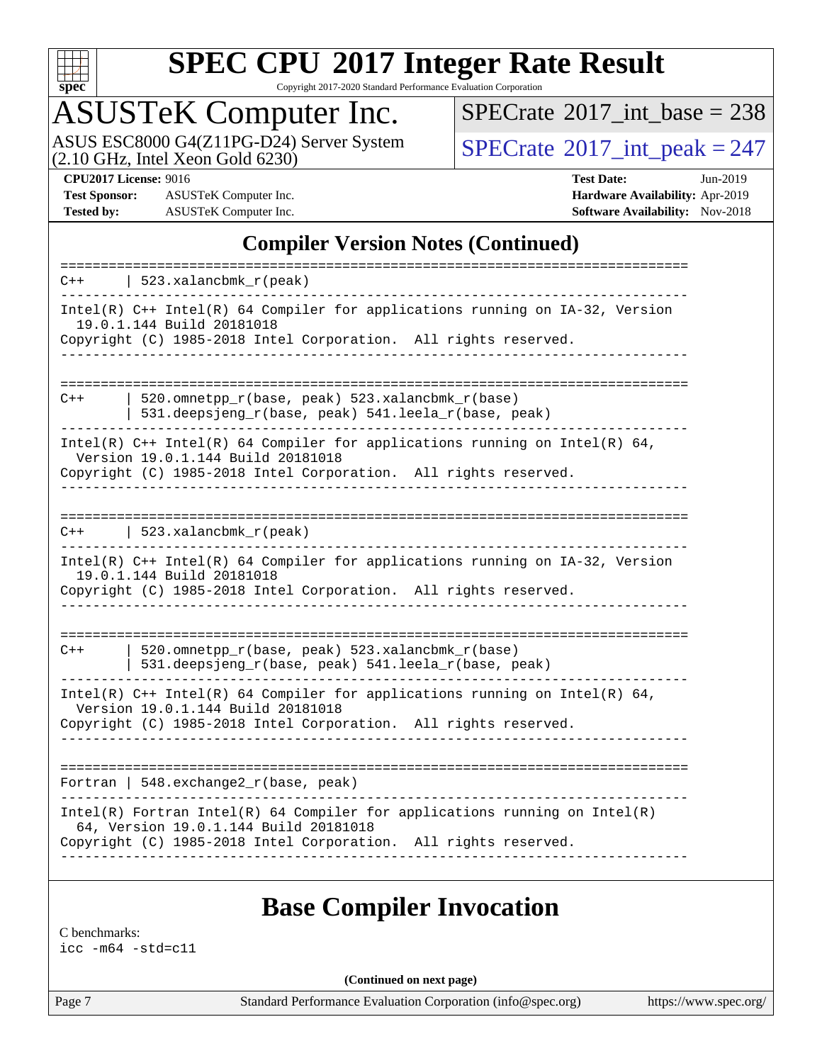

Copyright 2017-2020 Standard Performance Evaluation Corporation

# ASUSTeK Computer Inc.

ASUS ESC8000 G4(Z11PG-D24) Server System<br>(2.10 GHz, Intel Xeon Gold 6230)

 $SPECrate$ <sup>®</sup>[2017\\_int\\_base =](http://www.spec.org/auto/cpu2017/Docs/result-fields.html#SPECrate2017intbase) 238

 $SPECTate<sup>®</sup>2017_int_ppeak = 247$ 

**[Test Sponsor:](http://www.spec.org/auto/cpu2017/Docs/result-fields.html#TestSponsor)** ASUSTeK Computer Inc. **[Hardware Availability:](http://www.spec.org/auto/cpu2017/Docs/result-fields.html#HardwareAvailability)** Apr-2019 **[Tested by:](http://www.spec.org/auto/cpu2017/Docs/result-fields.html#Testedby)** ASUSTeK Computer Inc. **[Software Availability:](http://www.spec.org/auto/cpu2017/Docs/result-fields.html#SoftwareAvailability)** Nov-2018

**[CPU2017 License:](http://www.spec.org/auto/cpu2017/Docs/result-fields.html#CPU2017License)** 9016 **[Test Date:](http://www.spec.org/auto/cpu2017/Docs/result-fields.html#TestDate)** Jun-2019

### **[Compiler Version Notes \(Continued\)](http://www.spec.org/auto/cpu2017/Docs/result-fields.html#CompilerVersionNotes)**

| $Intel(R)$ C++ Intel(R) 64 Compiler for applications running on IA-32, Version<br>19.0.1.144 Build 20181018<br>Copyright (C) 1985-2018 Intel Corporation. All rights reserved.           |
|------------------------------------------------------------------------------------------------------------------------------------------------------------------------------------------|
|                                                                                                                                                                                          |
| 520.omnetpp_r(base, peak) 523.xalancbmk_r(base)<br>$C++$<br>531.deepsjeng_r(base, peak) 541.leela_r(base, peak)                                                                          |
| Intel(R) $C++$ Intel(R) 64 Compiler for applications running on Intel(R) 64,<br>Version 19.0.1.144 Build 20181018<br>Copyright (C) 1985-2018 Intel Corporation. All rights reserved.     |
| 523.xalancbmk $r$ (peak)<br>$C++$                                                                                                                                                        |
| Intel(R) $C++$ Intel(R) 64 Compiler for applications running on $IA-32$ , Version<br>19.0.1.144 Build 20181018<br>Copyright (C) 1985-2018 Intel Corporation. All rights reserved.        |
| 520.omnetpp_r(base, peak) 523.xalancbmk_r(base)<br>$C++$<br>531.deepsjeng_r(base, peak) 541.leela_r(base, peak)                                                                          |
| Intel(R) $C++$ Intel(R) 64 Compiler for applications running on Intel(R) 64,<br>Version 19.0.1.144 Build 20181018<br>Copyright (C) 1985-2018 Intel Corporation. All rights reserved.     |
| Fortran   548.exchange2_r(base, peak)                                                                                                                                                    |
| $Intel(R)$ Fortran Intel(R) 64 Compiler for applications running on Intel(R)<br>64, Version 19.0.1.144 Build 20181018<br>Copyright (C) 1985-2018 Intel Corporation. All rights reserved. |

### **[Base Compiler Invocation](http://www.spec.org/auto/cpu2017/Docs/result-fields.html#BaseCompilerInvocation)**

[C benchmarks:](http://www.spec.org/auto/cpu2017/Docs/result-fields.html#Cbenchmarks) [icc -m64 -std=c11](http://www.spec.org/cpu2017/results/res2019q3/cpu2017-20190625-15880.flags.html#user_CCbase_intel_icc_64bit_c11_33ee0cdaae7deeeab2a9725423ba97205ce30f63b9926c2519791662299b76a0318f32ddfffdc46587804de3178b4f9328c46fa7c2b0cd779d7a61945c91cd35)

**(Continued on next page)**

Page 7 Standard Performance Evaluation Corporation [\(info@spec.org\)](mailto:info@spec.org) <https://www.spec.org/>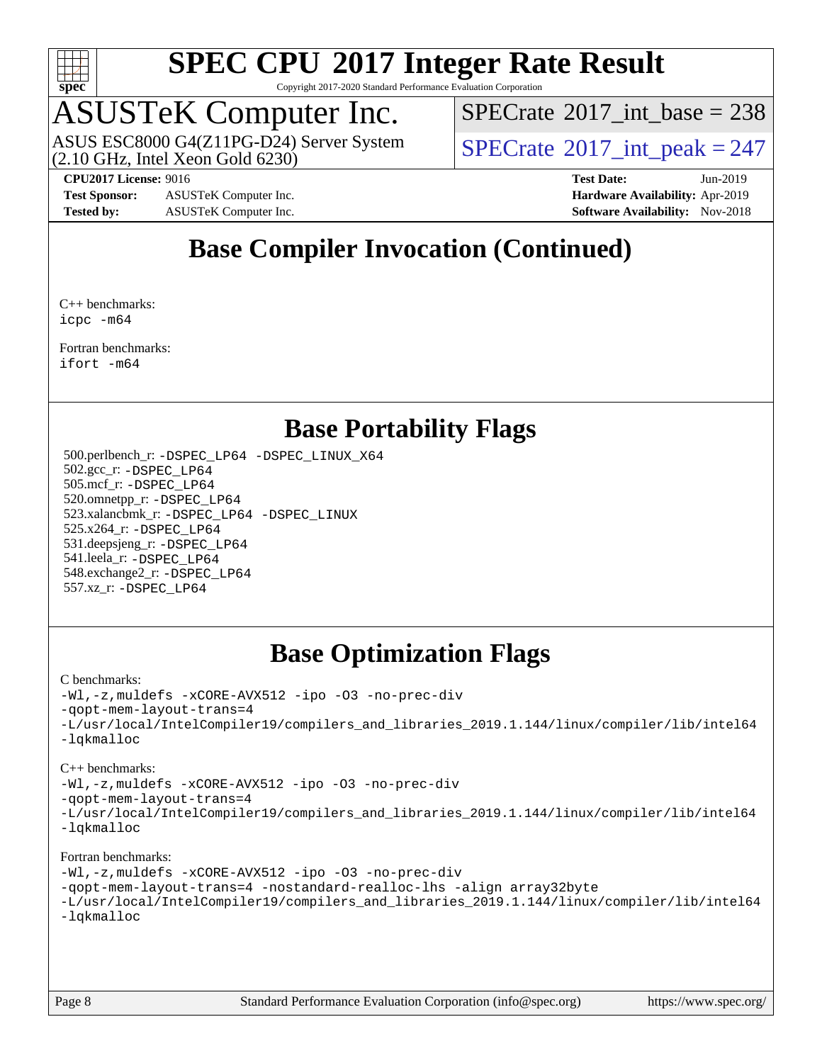

Copyright 2017-2020 Standard Performance Evaluation Corporation

# ASUSTeK Computer Inc.<br>ASUS ESC8000 G4(Z11PG-D24) Server System

(2.10 GHz, Intel Xeon Gold 6230)

 $SPECTate$ <sup>®</sup>[2017\\_int\\_base =](http://www.spec.org/auto/cpu2017/Docs/result-fields.html#SPECrate2017intbase) 238

 $SPECTate@2017\_int\_peak = 247$ 

**[Test Sponsor:](http://www.spec.org/auto/cpu2017/Docs/result-fields.html#TestSponsor)** ASUSTeK Computer Inc. **[Hardware Availability:](http://www.spec.org/auto/cpu2017/Docs/result-fields.html#HardwareAvailability)** Apr-2019 **[Tested by:](http://www.spec.org/auto/cpu2017/Docs/result-fields.html#Testedby)** ASUSTeK Computer Inc. **[Software Availability:](http://www.spec.org/auto/cpu2017/Docs/result-fields.html#SoftwareAvailability)** Nov-2018

**[CPU2017 License:](http://www.spec.org/auto/cpu2017/Docs/result-fields.html#CPU2017License)** 9016 **[Test Date:](http://www.spec.org/auto/cpu2017/Docs/result-fields.html#TestDate)** Jun-2019

### **[Base Compiler Invocation \(Continued\)](http://www.spec.org/auto/cpu2017/Docs/result-fields.html#BaseCompilerInvocation)**

[C++ benchmarks](http://www.spec.org/auto/cpu2017/Docs/result-fields.html#CXXbenchmarks): [icpc -m64](http://www.spec.org/cpu2017/results/res2019q3/cpu2017-20190625-15880.flags.html#user_CXXbase_intel_icpc_64bit_4ecb2543ae3f1412ef961e0650ca070fec7b7afdcd6ed48761b84423119d1bf6bdf5cad15b44d48e7256388bc77273b966e5eb805aefd121eb22e9299b2ec9d9)

[Fortran benchmarks](http://www.spec.org/auto/cpu2017/Docs/result-fields.html#Fortranbenchmarks): [ifort -m64](http://www.spec.org/cpu2017/results/res2019q3/cpu2017-20190625-15880.flags.html#user_FCbase_intel_ifort_64bit_24f2bb282fbaeffd6157abe4f878425411749daecae9a33200eee2bee2fe76f3b89351d69a8130dd5949958ce389cf37ff59a95e7a40d588e8d3a57e0c3fd751)

### **[Base Portability Flags](http://www.spec.org/auto/cpu2017/Docs/result-fields.html#BasePortabilityFlags)**

 500.perlbench\_r: [-DSPEC\\_LP64](http://www.spec.org/cpu2017/results/res2019q3/cpu2017-20190625-15880.flags.html#b500.perlbench_r_basePORTABILITY_DSPEC_LP64) [-DSPEC\\_LINUX\\_X64](http://www.spec.org/cpu2017/results/res2019q3/cpu2017-20190625-15880.flags.html#b500.perlbench_r_baseCPORTABILITY_DSPEC_LINUX_X64) 502.gcc\_r: [-DSPEC\\_LP64](http://www.spec.org/cpu2017/results/res2019q3/cpu2017-20190625-15880.flags.html#suite_basePORTABILITY502_gcc_r_DSPEC_LP64) 505.mcf\_r: [-DSPEC\\_LP64](http://www.spec.org/cpu2017/results/res2019q3/cpu2017-20190625-15880.flags.html#suite_basePORTABILITY505_mcf_r_DSPEC_LP64) 520.omnetpp\_r: [-DSPEC\\_LP64](http://www.spec.org/cpu2017/results/res2019q3/cpu2017-20190625-15880.flags.html#suite_basePORTABILITY520_omnetpp_r_DSPEC_LP64) 523.xalancbmk\_r: [-DSPEC\\_LP64](http://www.spec.org/cpu2017/results/res2019q3/cpu2017-20190625-15880.flags.html#suite_basePORTABILITY523_xalancbmk_r_DSPEC_LP64) [-DSPEC\\_LINUX](http://www.spec.org/cpu2017/results/res2019q3/cpu2017-20190625-15880.flags.html#b523.xalancbmk_r_baseCXXPORTABILITY_DSPEC_LINUX) 525.x264\_r: [-DSPEC\\_LP64](http://www.spec.org/cpu2017/results/res2019q3/cpu2017-20190625-15880.flags.html#suite_basePORTABILITY525_x264_r_DSPEC_LP64) 531.deepsjeng\_r: [-DSPEC\\_LP64](http://www.spec.org/cpu2017/results/res2019q3/cpu2017-20190625-15880.flags.html#suite_basePORTABILITY531_deepsjeng_r_DSPEC_LP64) 541.leela\_r: [-DSPEC\\_LP64](http://www.spec.org/cpu2017/results/res2019q3/cpu2017-20190625-15880.flags.html#suite_basePORTABILITY541_leela_r_DSPEC_LP64) 548.exchange2\_r: [-DSPEC\\_LP64](http://www.spec.org/cpu2017/results/res2019q3/cpu2017-20190625-15880.flags.html#suite_basePORTABILITY548_exchange2_r_DSPEC_LP64) 557.xz\_r: [-DSPEC\\_LP64](http://www.spec.org/cpu2017/results/res2019q3/cpu2017-20190625-15880.flags.html#suite_basePORTABILITY557_xz_r_DSPEC_LP64)

### **[Base Optimization Flags](http://www.spec.org/auto/cpu2017/Docs/result-fields.html#BaseOptimizationFlags)**

### [C benchmarks](http://www.spec.org/auto/cpu2017/Docs/result-fields.html#Cbenchmarks):

[-Wl,-z,muldefs](http://www.spec.org/cpu2017/results/res2019q3/cpu2017-20190625-15880.flags.html#user_CCbase_link_force_multiple1_b4cbdb97b34bdee9ceefcfe54f4c8ea74255f0b02a4b23e853cdb0e18eb4525ac79b5a88067c842dd0ee6996c24547a27a4b99331201badda8798ef8a743f577) [-xCORE-AVX512](http://www.spec.org/cpu2017/results/res2019q3/cpu2017-20190625-15880.flags.html#user_CCbase_f-xCORE-AVX512) [-ipo](http://www.spec.org/cpu2017/results/res2019q3/cpu2017-20190625-15880.flags.html#user_CCbase_f-ipo) [-O3](http://www.spec.org/cpu2017/results/res2019q3/cpu2017-20190625-15880.flags.html#user_CCbase_f-O3) [-no-prec-div](http://www.spec.org/cpu2017/results/res2019q3/cpu2017-20190625-15880.flags.html#user_CCbase_f-no-prec-div) [-qopt-mem-layout-trans=4](http://www.spec.org/cpu2017/results/res2019q3/cpu2017-20190625-15880.flags.html#user_CCbase_f-qopt-mem-layout-trans_fa39e755916c150a61361b7846f310bcdf6f04e385ef281cadf3647acec3f0ae266d1a1d22d972a7087a248fd4e6ca390a3634700869573d231a252c784941a8) [-L/usr/local/IntelCompiler19/compilers\\_and\\_libraries\\_2019.1.144/linux/compiler/lib/intel64](http://www.spec.org/cpu2017/results/res2019q3/cpu2017-20190625-15880.flags.html#user_CCbase_qkmalloc_link_f25da0aa8cf9bced0533715046f0c2fbfb1a7191e3e496916672e09b4c388a884c4c7e4862cb529343da2264b43416df65c99fd1ddbf5dd13ae6d3130cf47881) [-lqkmalloc](http://www.spec.org/cpu2017/results/res2019q3/cpu2017-20190625-15880.flags.html#user_CCbase_qkmalloc_link_lib_79a818439969f771c6bc311cfd333c00fc099dad35c030f5aab9dda831713d2015205805422f83de8875488a2991c0a156aaa600e1f9138f8fc37004abc96dc5)

### [C++ benchmarks](http://www.spec.org/auto/cpu2017/Docs/result-fields.html#CXXbenchmarks):

[-Wl,-z,muldefs](http://www.spec.org/cpu2017/results/res2019q3/cpu2017-20190625-15880.flags.html#user_CXXbase_link_force_multiple1_b4cbdb97b34bdee9ceefcfe54f4c8ea74255f0b02a4b23e853cdb0e18eb4525ac79b5a88067c842dd0ee6996c24547a27a4b99331201badda8798ef8a743f577) [-xCORE-AVX512](http://www.spec.org/cpu2017/results/res2019q3/cpu2017-20190625-15880.flags.html#user_CXXbase_f-xCORE-AVX512) [-ipo](http://www.spec.org/cpu2017/results/res2019q3/cpu2017-20190625-15880.flags.html#user_CXXbase_f-ipo) [-O3](http://www.spec.org/cpu2017/results/res2019q3/cpu2017-20190625-15880.flags.html#user_CXXbase_f-O3) [-no-prec-div](http://www.spec.org/cpu2017/results/res2019q3/cpu2017-20190625-15880.flags.html#user_CXXbase_f-no-prec-div)

[-qopt-mem-layout-trans=4](http://www.spec.org/cpu2017/results/res2019q3/cpu2017-20190625-15880.flags.html#user_CXXbase_f-qopt-mem-layout-trans_fa39e755916c150a61361b7846f310bcdf6f04e385ef281cadf3647acec3f0ae266d1a1d22d972a7087a248fd4e6ca390a3634700869573d231a252c784941a8)

[-L/usr/local/IntelCompiler19/compilers\\_and\\_libraries\\_2019.1.144/linux/compiler/lib/intel64](http://www.spec.org/cpu2017/results/res2019q3/cpu2017-20190625-15880.flags.html#user_CXXbase_qkmalloc_link_f25da0aa8cf9bced0533715046f0c2fbfb1a7191e3e496916672e09b4c388a884c4c7e4862cb529343da2264b43416df65c99fd1ddbf5dd13ae6d3130cf47881) [-lqkmalloc](http://www.spec.org/cpu2017/results/res2019q3/cpu2017-20190625-15880.flags.html#user_CXXbase_qkmalloc_link_lib_79a818439969f771c6bc311cfd333c00fc099dad35c030f5aab9dda831713d2015205805422f83de8875488a2991c0a156aaa600e1f9138f8fc37004abc96dc5)

### [Fortran benchmarks](http://www.spec.org/auto/cpu2017/Docs/result-fields.html#Fortranbenchmarks):

```
-Wl,-z,muldefs -xCORE-AVX512 -ipo -O3 -no-prec-div
-qopt-mem-layout-trans=4 -nostandard-realloc-lhs -align array32byte
-L/usr/local/IntelCompiler19/compilers_and_libraries_2019.1.144/linux/compiler/lib/intel64
-lqkmalloc
```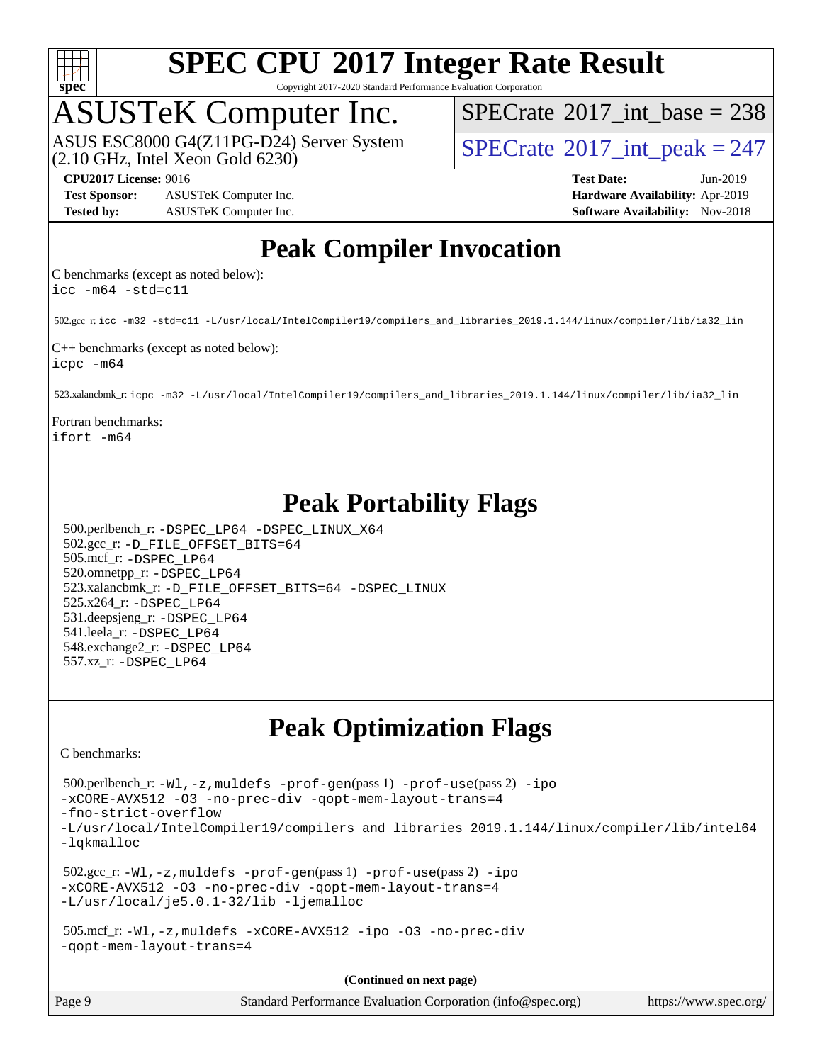

Copyright 2017-2020 Standard Performance Evaluation Corporation

## ASUSTeK Computer Inc.

(2.10 GHz, Intel Xeon Gold 6230) ASUS ESC8000 G4(Z11PG-D24) Server System  $SPECrate^{\circ}2017$  $SPECrate^{\circ}2017$ \_int\_peak = 247

 $SPECTate$ <sup>®</sup>[2017\\_int\\_base =](http://www.spec.org/auto/cpu2017/Docs/result-fields.html#SPECrate2017intbase) 238

**[Test Sponsor:](http://www.spec.org/auto/cpu2017/Docs/result-fields.html#TestSponsor)** ASUSTeK Computer Inc. **[Hardware Availability:](http://www.spec.org/auto/cpu2017/Docs/result-fields.html#HardwareAvailability)** Apr-2019 **[Tested by:](http://www.spec.org/auto/cpu2017/Docs/result-fields.html#Testedby)** ASUSTeK Computer Inc. **[Software Availability:](http://www.spec.org/auto/cpu2017/Docs/result-fields.html#SoftwareAvailability)** Nov-2018

**[CPU2017 License:](http://www.spec.org/auto/cpu2017/Docs/result-fields.html#CPU2017License)** 9016 **[Test Date:](http://www.spec.org/auto/cpu2017/Docs/result-fields.html#TestDate)** Jun-2019

### **[Peak Compiler Invocation](http://www.spec.org/auto/cpu2017/Docs/result-fields.html#PeakCompilerInvocation)**

[C benchmarks \(except as noted below\):](http://www.spec.org/auto/cpu2017/Docs/result-fields.html#Cbenchmarksexceptasnotedbelow) [icc -m64 -std=c11](http://www.spec.org/cpu2017/results/res2019q3/cpu2017-20190625-15880.flags.html#user_CCpeak_intel_icc_64bit_c11_33ee0cdaae7deeeab2a9725423ba97205ce30f63b9926c2519791662299b76a0318f32ddfffdc46587804de3178b4f9328c46fa7c2b0cd779d7a61945c91cd35)

502.gcc\_r: [icc -m32 -std=c11 -L/usr/local/IntelCompiler19/compilers\\_and\\_libraries\\_2019.1.144/linux/compiler/lib/ia32\\_lin](http://www.spec.org/cpu2017/results/res2019q3/cpu2017-20190625-15880.flags.html#user_peakCCLD502_gcc_r_intel_icc_40453ff6bf9521e1d4c2d3e2fb99253a88fa516366d57fe908127cec2d2803e1a519020f7199618d366f5331d17d60a40bdca38a56a807895183dcecb671b0e5)

[C++ benchmarks \(except as noted below\):](http://www.spec.org/auto/cpu2017/Docs/result-fields.html#CXXbenchmarksexceptasnotedbelow) [icpc -m64](http://www.spec.org/cpu2017/results/res2019q3/cpu2017-20190625-15880.flags.html#user_CXXpeak_intel_icpc_64bit_4ecb2543ae3f1412ef961e0650ca070fec7b7afdcd6ed48761b84423119d1bf6bdf5cad15b44d48e7256388bc77273b966e5eb805aefd121eb22e9299b2ec9d9)

523.xalancbmk\_r: [icpc -m32 -L/usr/local/IntelCompiler19/compilers\\_and\\_libraries\\_2019.1.144/linux/compiler/lib/ia32\\_lin](http://www.spec.org/cpu2017/results/res2019q3/cpu2017-20190625-15880.flags.html#user_peakCXXLD523_xalancbmk_r_intel_icpc_da1545662a59c569b62a27824af614167f9a0289efc0155d279b219af3bd2ccb3c10a77eb36bcb264d681e48d9166bbcec9d21ef2c85e5a63a687a8887ddded7)

[Fortran benchmarks](http://www.spec.org/auto/cpu2017/Docs/result-fields.html#Fortranbenchmarks): [ifort -m64](http://www.spec.org/cpu2017/results/res2019q3/cpu2017-20190625-15880.flags.html#user_FCpeak_intel_ifort_64bit_24f2bb282fbaeffd6157abe4f878425411749daecae9a33200eee2bee2fe76f3b89351d69a8130dd5949958ce389cf37ff59a95e7a40d588e8d3a57e0c3fd751)

### **[Peak Portability Flags](http://www.spec.org/auto/cpu2017/Docs/result-fields.html#PeakPortabilityFlags)**

 500.perlbench\_r: [-DSPEC\\_LP64](http://www.spec.org/cpu2017/results/res2019q3/cpu2017-20190625-15880.flags.html#b500.perlbench_r_peakPORTABILITY_DSPEC_LP64) [-DSPEC\\_LINUX\\_X64](http://www.spec.org/cpu2017/results/res2019q3/cpu2017-20190625-15880.flags.html#b500.perlbench_r_peakCPORTABILITY_DSPEC_LINUX_X64) 502.gcc\_r: [-D\\_FILE\\_OFFSET\\_BITS=64](http://www.spec.org/cpu2017/results/res2019q3/cpu2017-20190625-15880.flags.html#user_peakPORTABILITY502_gcc_r_file_offset_bits_64_5ae949a99b284ddf4e95728d47cb0843d81b2eb0e18bdfe74bbf0f61d0b064f4bda2f10ea5eb90e1dcab0e84dbc592acfc5018bc955c18609f94ddb8d550002c) 505.mcf\_r: [-DSPEC\\_LP64](http://www.spec.org/cpu2017/results/res2019q3/cpu2017-20190625-15880.flags.html#suite_peakPORTABILITY505_mcf_r_DSPEC_LP64) 520.omnetpp\_r: [-DSPEC\\_LP64](http://www.spec.org/cpu2017/results/res2019q3/cpu2017-20190625-15880.flags.html#suite_peakPORTABILITY520_omnetpp_r_DSPEC_LP64) 523.xalancbmk\_r: [-D\\_FILE\\_OFFSET\\_BITS=64](http://www.spec.org/cpu2017/results/res2019q3/cpu2017-20190625-15880.flags.html#user_peakPORTABILITY523_xalancbmk_r_file_offset_bits_64_5ae949a99b284ddf4e95728d47cb0843d81b2eb0e18bdfe74bbf0f61d0b064f4bda2f10ea5eb90e1dcab0e84dbc592acfc5018bc955c18609f94ddb8d550002c) [-DSPEC\\_LINUX](http://www.spec.org/cpu2017/results/res2019q3/cpu2017-20190625-15880.flags.html#b523.xalancbmk_r_peakCXXPORTABILITY_DSPEC_LINUX) 525.x264\_r: [-DSPEC\\_LP64](http://www.spec.org/cpu2017/results/res2019q3/cpu2017-20190625-15880.flags.html#suite_peakPORTABILITY525_x264_r_DSPEC_LP64) 531.deepsjeng\_r: [-DSPEC\\_LP64](http://www.spec.org/cpu2017/results/res2019q3/cpu2017-20190625-15880.flags.html#suite_peakPORTABILITY531_deepsjeng_r_DSPEC_LP64) 541.leela\_r: [-DSPEC\\_LP64](http://www.spec.org/cpu2017/results/res2019q3/cpu2017-20190625-15880.flags.html#suite_peakPORTABILITY541_leela_r_DSPEC_LP64) 548.exchange2\_r: [-DSPEC\\_LP64](http://www.spec.org/cpu2017/results/res2019q3/cpu2017-20190625-15880.flags.html#suite_peakPORTABILITY548_exchange2_r_DSPEC_LP64) 557.xz\_r: [-DSPEC\\_LP64](http://www.spec.org/cpu2017/results/res2019q3/cpu2017-20190625-15880.flags.html#suite_peakPORTABILITY557_xz_r_DSPEC_LP64)

### **[Peak Optimization Flags](http://www.spec.org/auto/cpu2017/Docs/result-fields.html#PeakOptimizationFlags)**

[C benchmarks](http://www.spec.org/auto/cpu2017/Docs/result-fields.html#Cbenchmarks):

```
 500.perlbench_r: -Wl,-z,muldefs -prof-gen(pass 1) -prof-use(pass 2) -ipo
-xCORE-AVX512 -O3 -no-prec-div -qopt-mem-layout-trans=4
-fno-strict-overflow
-L/usr/local/IntelCompiler19/compilers_and_libraries_2019.1.144/linux/compiler/lib/intel64
-lqkmalloc
 502.gcc_r: -Wl,-z,muldefs -prof-gen(pass 1) -prof-use(pass 2) -ipo
-xCORE-AVX512 -O3 -no-prec-div -qopt-mem-layout-trans=4
-L/usr/local/je5.0.1-32/lib -ljemalloc
 505.mcf_r: -Wl,-z,muldefs -xCORE-AVX512 -ipo -O3 -no-prec-div
-qopt-mem-layout-trans=4
```
**(Continued on next page)**

| Page 9 | Standard Performance Evaluation Corporation (info@spec.org) | https://www.spec.org/ |
|--------|-------------------------------------------------------------|-----------------------|
|--------|-------------------------------------------------------------|-----------------------|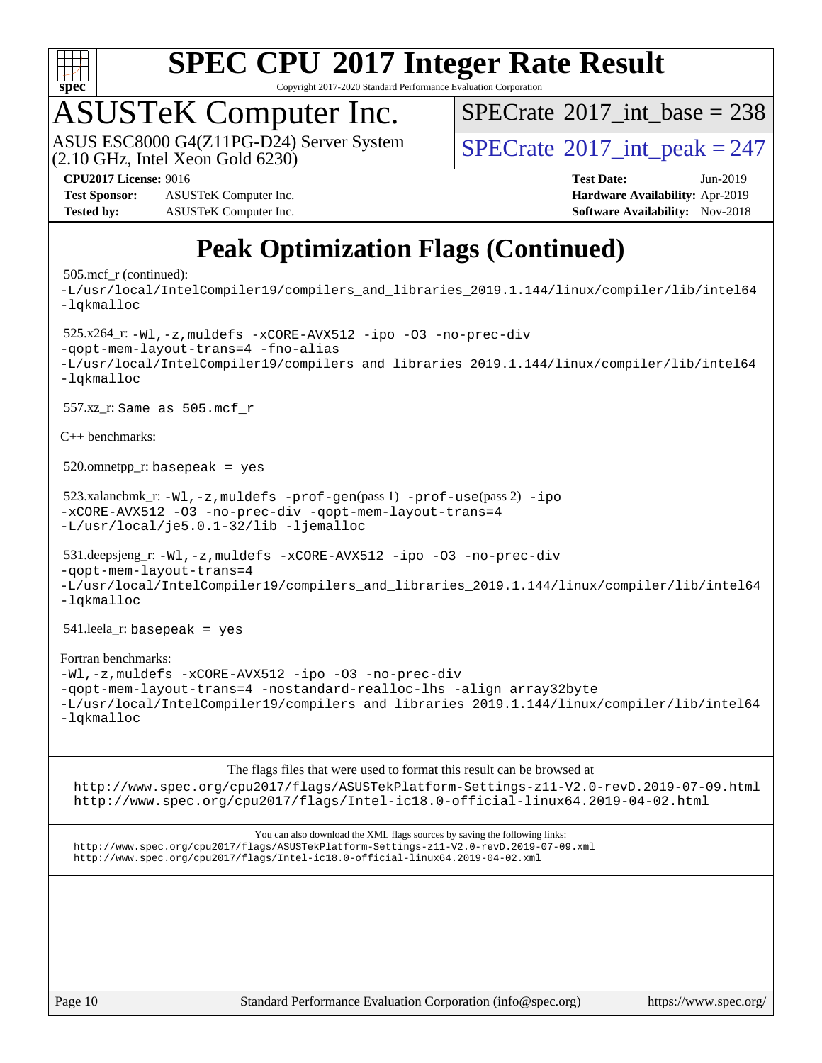

Copyright 2017-2020 Standard Performance Evaluation Corporation

# ASUSTeK Computer Inc.<br>ASUS ESC8000 G4(Z11PG-D24) Server System

 $(2.10$  GHz, Intel Xeon Gold  $6230)$ 

 $SPECTate$ <sup>®</sup>[2017\\_int\\_base =](http://www.spec.org/auto/cpu2017/Docs/result-fields.html#SPECrate2017intbase) 238

 $SPECTate<sup>®</sup>2017_int_ppeak = 247$ 

**[Test Sponsor:](http://www.spec.org/auto/cpu2017/Docs/result-fields.html#TestSponsor)** ASUSTeK Computer Inc. **[Hardware Availability:](http://www.spec.org/auto/cpu2017/Docs/result-fields.html#HardwareAvailability)** Apr-2019 **[Tested by:](http://www.spec.org/auto/cpu2017/Docs/result-fields.html#Testedby)** ASUSTeK Computer Inc. **[Software Availability:](http://www.spec.org/auto/cpu2017/Docs/result-fields.html#SoftwareAvailability)** Nov-2018

**[CPU2017 License:](http://www.spec.org/auto/cpu2017/Docs/result-fields.html#CPU2017License)** 9016 **[Test Date:](http://www.spec.org/auto/cpu2017/Docs/result-fields.html#TestDate)** Jun-2019

## **[Peak Optimization Flags \(Continued\)](http://www.spec.org/auto/cpu2017/Docs/result-fields.html#PeakOptimizationFlags)**

### 505.mcf\_r (continued):

[-L/usr/local/IntelCompiler19/compilers\\_and\\_libraries\\_2019.1.144/linux/compiler/lib/intel64](http://www.spec.org/cpu2017/results/res2019q3/cpu2017-20190625-15880.flags.html#user_peakEXTRA_LIBS505_mcf_r_qkmalloc_link_f25da0aa8cf9bced0533715046f0c2fbfb1a7191e3e496916672e09b4c388a884c4c7e4862cb529343da2264b43416df65c99fd1ddbf5dd13ae6d3130cf47881) [-lqkmalloc](http://www.spec.org/cpu2017/results/res2019q3/cpu2017-20190625-15880.flags.html#user_peakEXTRA_LIBS505_mcf_r_qkmalloc_link_lib_79a818439969f771c6bc311cfd333c00fc099dad35c030f5aab9dda831713d2015205805422f83de8875488a2991c0a156aaa600e1f9138f8fc37004abc96dc5) 525.x264\_r: [-Wl,-z,muldefs](http://www.spec.org/cpu2017/results/res2019q3/cpu2017-20190625-15880.flags.html#user_peakEXTRA_LDFLAGS525_x264_r_link_force_multiple1_b4cbdb97b34bdee9ceefcfe54f4c8ea74255f0b02a4b23e853cdb0e18eb4525ac79b5a88067c842dd0ee6996c24547a27a4b99331201badda8798ef8a743f577) [-xCORE-AVX512](http://www.spec.org/cpu2017/results/res2019q3/cpu2017-20190625-15880.flags.html#user_peakCOPTIMIZE525_x264_r_f-xCORE-AVX512) [-ipo](http://www.spec.org/cpu2017/results/res2019q3/cpu2017-20190625-15880.flags.html#user_peakCOPTIMIZE525_x264_r_f-ipo) [-O3](http://www.spec.org/cpu2017/results/res2019q3/cpu2017-20190625-15880.flags.html#user_peakCOPTIMIZE525_x264_r_f-O3) [-no-prec-div](http://www.spec.org/cpu2017/results/res2019q3/cpu2017-20190625-15880.flags.html#user_peakCOPTIMIZE525_x264_r_f-no-prec-div) [-qopt-mem-layout-trans=4](http://www.spec.org/cpu2017/results/res2019q3/cpu2017-20190625-15880.flags.html#user_peakCOPTIMIZE525_x264_r_f-qopt-mem-layout-trans_fa39e755916c150a61361b7846f310bcdf6f04e385ef281cadf3647acec3f0ae266d1a1d22d972a7087a248fd4e6ca390a3634700869573d231a252c784941a8) [-fno-alias](http://www.spec.org/cpu2017/results/res2019q3/cpu2017-20190625-15880.flags.html#user_peakEXTRA_OPTIMIZE525_x264_r_f-no-alias_77dbac10d91cbfe898fbf4a29d1b29b694089caa623bdd1baccc9957d4edbe8d106c0b357e2748a65b44fc9e83d78098bb898077f3fe92f9faf24f7bd4a07ed7) [-L/usr/local/IntelCompiler19/compilers\\_and\\_libraries\\_2019.1.144/linux/compiler/lib/intel64](http://www.spec.org/cpu2017/results/res2019q3/cpu2017-20190625-15880.flags.html#user_peakEXTRA_LIBS525_x264_r_qkmalloc_link_f25da0aa8cf9bced0533715046f0c2fbfb1a7191e3e496916672e09b4c388a884c4c7e4862cb529343da2264b43416df65c99fd1ddbf5dd13ae6d3130cf47881) [-lqkmalloc](http://www.spec.org/cpu2017/results/res2019q3/cpu2017-20190625-15880.flags.html#user_peakEXTRA_LIBS525_x264_r_qkmalloc_link_lib_79a818439969f771c6bc311cfd333c00fc099dad35c030f5aab9dda831713d2015205805422f83de8875488a2991c0a156aaa600e1f9138f8fc37004abc96dc5) 557.xz\_r: Same as 505.mcf\_r [C++ benchmarks:](http://www.spec.org/auto/cpu2017/Docs/result-fields.html#CXXbenchmarks)  $520.$ omnetpp\_r: basepeak = yes 523.xalancbmk\_r: [-Wl,-z,muldefs](http://www.spec.org/cpu2017/results/res2019q3/cpu2017-20190625-15880.flags.html#user_peakEXTRA_LDFLAGS523_xalancbmk_r_link_force_multiple1_b4cbdb97b34bdee9ceefcfe54f4c8ea74255f0b02a4b23e853cdb0e18eb4525ac79b5a88067c842dd0ee6996c24547a27a4b99331201badda8798ef8a743f577) [-prof-gen](http://www.spec.org/cpu2017/results/res2019q3/cpu2017-20190625-15880.flags.html#user_peakPASS1_CXXFLAGSPASS1_LDFLAGS523_xalancbmk_r_prof_gen_5aa4926d6013ddb2a31985c654b3eb18169fc0c6952a63635c234f711e6e63dd76e94ad52365559451ec499a2cdb89e4dc58ba4c67ef54ca681ffbe1461d6b36)(pass 1) [-prof-use](http://www.spec.org/cpu2017/results/res2019q3/cpu2017-20190625-15880.flags.html#user_peakPASS2_CXXFLAGSPASS2_LDFLAGS523_xalancbmk_r_prof_use_1a21ceae95f36a2b53c25747139a6c16ca95bd9def2a207b4f0849963b97e94f5260e30a0c64f4bb623698870e679ca08317ef8150905d41bd88c6f78df73f19)(pass 2) [-ipo](http://www.spec.org/cpu2017/results/res2019q3/cpu2017-20190625-15880.flags.html#user_peakPASS1_CXXOPTIMIZEPASS2_CXXOPTIMIZE523_xalancbmk_r_f-ipo) [-xCORE-AVX512](http://www.spec.org/cpu2017/results/res2019q3/cpu2017-20190625-15880.flags.html#user_peakPASS2_CXXOPTIMIZE523_xalancbmk_r_f-xCORE-AVX512) [-O3](http://www.spec.org/cpu2017/results/res2019q3/cpu2017-20190625-15880.flags.html#user_peakPASS1_CXXOPTIMIZEPASS2_CXXOPTIMIZE523_xalancbmk_r_f-O3) [-no-prec-div](http://www.spec.org/cpu2017/results/res2019q3/cpu2017-20190625-15880.flags.html#user_peakPASS1_CXXOPTIMIZEPASS2_CXXOPTIMIZE523_xalancbmk_r_f-no-prec-div) [-qopt-mem-layout-trans=4](http://www.spec.org/cpu2017/results/res2019q3/cpu2017-20190625-15880.flags.html#user_peakPASS1_CXXOPTIMIZEPASS2_CXXOPTIMIZE523_xalancbmk_r_f-qopt-mem-layout-trans_fa39e755916c150a61361b7846f310bcdf6f04e385ef281cadf3647acec3f0ae266d1a1d22d972a7087a248fd4e6ca390a3634700869573d231a252c784941a8) [-L/usr/local/je5.0.1-32/lib](http://www.spec.org/cpu2017/results/res2019q3/cpu2017-20190625-15880.flags.html#user_peakEXTRA_LIBS523_xalancbmk_r_jemalloc_link_path32_e29f22e8e6c17053bbc6a0971f5a9c01a601a06bb1a59df2084b77a2fe0a2995b64fd4256feaeea39eeba3aae142e96e2b2b0a28974019c0c0c88139a84f900a) [-ljemalloc](http://www.spec.org/cpu2017/results/res2019q3/cpu2017-20190625-15880.flags.html#user_peakEXTRA_LIBS523_xalancbmk_r_jemalloc_link_lib_d1249b907c500fa1c0672f44f562e3d0f79738ae9e3c4a9c376d49f265a04b9c99b167ecedbf6711b3085be911c67ff61f150a17b3472be731631ba4d0471706) 531.deepsjeng\_r: [-Wl,-z,muldefs](http://www.spec.org/cpu2017/results/res2019q3/cpu2017-20190625-15880.flags.html#user_peakEXTRA_LDFLAGS531_deepsjeng_r_link_force_multiple1_b4cbdb97b34bdee9ceefcfe54f4c8ea74255f0b02a4b23e853cdb0e18eb4525ac79b5a88067c842dd0ee6996c24547a27a4b99331201badda8798ef8a743f577) [-xCORE-AVX512](http://www.spec.org/cpu2017/results/res2019q3/cpu2017-20190625-15880.flags.html#user_peakCXXOPTIMIZE531_deepsjeng_r_f-xCORE-AVX512) [-ipo](http://www.spec.org/cpu2017/results/res2019q3/cpu2017-20190625-15880.flags.html#user_peakCXXOPTIMIZE531_deepsjeng_r_f-ipo) [-O3](http://www.spec.org/cpu2017/results/res2019q3/cpu2017-20190625-15880.flags.html#user_peakCXXOPTIMIZE531_deepsjeng_r_f-O3) [-no-prec-div](http://www.spec.org/cpu2017/results/res2019q3/cpu2017-20190625-15880.flags.html#user_peakCXXOPTIMIZE531_deepsjeng_r_f-no-prec-div) [-qopt-mem-layout-trans=4](http://www.spec.org/cpu2017/results/res2019q3/cpu2017-20190625-15880.flags.html#user_peakCXXOPTIMIZE531_deepsjeng_r_f-qopt-mem-layout-trans_fa39e755916c150a61361b7846f310bcdf6f04e385ef281cadf3647acec3f0ae266d1a1d22d972a7087a248fd4e6ca390a3634700869573d231a252c784941a8) [-L/usr/local/IntelCompiler19/compilers\\_and\\_libraries\\_2019.1.144/linux/compiler/lib/intel64](http://www.spec.org/cpu2017/results/res2019q3/cpu2017-20190625-15880.flags.html#user_peakEXTRA_LIBS531_deepsjeng_r_qkmalloc_link_f25da0aa8cf9bced0533715046f0c2fbfb1a7191e3e496916672e09b4c388a884c4c7e4862cb529343da2264b43416df65c99fd1ddbf5dd13ae6d3130cf47881) [-lqkmalloc](http://www.spec.org/cpu2017/results/res2019q3/cpu2017-20190625-15880.flags.html#user_peakEXTRA_LIBS531_deepsjeng_r_qkmalloc_link_lib_79a818439969f771c6bc311cfd333c00fc099dad35c030f5aab9dda831713d2015205805422f83de8875488a2991c0a156aaa600e1f9138f8fc37004abc96dc5) 541.leela\_r: basepeak = yes [Fortran benchmarks:](http://www.spec.org/auto/cpu2017/Docs/result-fields.html#Fortranbenchmarks) [-Wl,-z,muldefs](http://www.spec.org/cpu2017/results/res2019q3/cpu2017-20190625-15880.flags.html#user_FCpeak_link_force_multiple1_b4cbdb97b34bdee9ceefcfe54f4c8ea74255f0b02a4b23e853cdb0e18eb4525ac79b5a88067c842dd0ee6996c24547a27a4b99331201badda8798ef8a743f577) [-xCORE-AVX512](http://www.spec.org/cpu2017/results/res2019q3/cpu2017-20190625-15880.flags.html#user_FCpeak_f-xCORE-AVX512) [-ipo](http://www.spec.org/cpu2017/results/res2019q3/cpu2017-20190625-15880.flags.html#user_FCpeak_f-ipo) [-O3](http://www.spec.org/cpu2017/results/res2019q3/cpu2017-20190625-15880.flags.html#user_FCpeak_f-O3) [-no-prec-div](http://www.spec.org/cpu2017/results/res2019q3/cpu2017-20190625-15880.flags.html#user_FCpeak_f-no-prec-div) [-qopt-mem-layout-trans=4](http://www.spec.org/cpu2017/results/res2019q3/cpu2017-20190625-15880.flags.html#user_FCpeak_f-qopt-mem-layout-trans_fa39e755916c150a61361b7846f310bcdf6f04e385ef281cadf3647acec3f0ae266d1a1d22d972a7087a248fd4e6ca390a3634700869573d231a252c784941a8) [-nostandard-realloc-lhs](http://www.spec.org/cpu2017/results/res2019q3/cpu2017-20190625-15880.flags.html#user_FCpeak_f_2003_std_realloc_82b4557e90729c0f113870c07e44d33d6f5a304b4f63d4c15d2d0f1fab99f5daaed73bdb9275d9ae411527f28b936061aa8b9c8f2d63842963b95c9dd6426b8a) [-align array32byte](http://www.spec.org/cpu2017/results/res2019q3/cpu2017-20190625-15880.flags.html#user_FCpeak_align_array32byte_b982fe038af199962ba9a80c053b8342c548c85b40b8e86eb3cc33dee0d7986a4af373ac2d51c3f7cf710a18d62fdce2948f201cd044323541f22fc0fffc51b6) [-L/usr/local/IntelCompiler19/compilers\\_and\\_libraries\\_2019.1.144/linux/compiler/lib/intel64](http://www.spec.org/cpu2017/results/res2019q3/cpu2017-20190625-15880.flags.html#user_FCpeak_qkmalloc_link_f25da0aa8cf9bced0533715046f0c2fbfb1a7191e3e496916672e09b4c388a884c4c7e4862cb529343da2264b43416df65c99fd1ddbf5dd13ae6d3130cf47881) [-lqkmalloc](http://www.spec.org/cpu2017/results/res2019q3/cpu2017-20190625-15880.flags.html#user_FCpeak_qkmalloc_link_lib_79a818439969f771c6bc311cfd333c00fc099dad35c030f5aab9dda831713d2015205805422f83de8875488a2991c0a156aaa600e1f9138f8fc37004abc96dc5)

### [The flags files that were used to format this result can be browsed at](tmsearch)

<http://www.spec.org/cpu2017/flags/ASUSTekPlatform-Settings-z11-V2.0-revD.2019-07-09.html> <http://www.spec.org/cpu2017/flags/Intel-ic18.0-official-linux64.2019-04-02.html>

[You can also download the XML flags sources by saving the following links:](tmsearch) <http://www.spec.org/cpu2017/flags/ASUSTekPlatform-Settings-z11-V2.0-revD.2019-07-09.xml> <http://www.spec.org/cpu2017/flags/Intel-ic18.0-official-linux64.2019-04-02.xml>